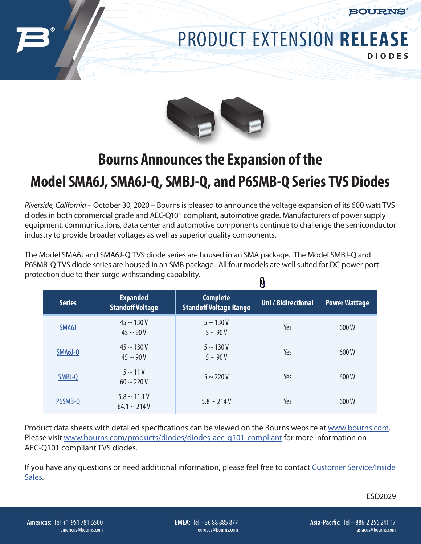

## PRODUCT EXTENSION **RELEASE DIODES**



## **Bourns Announces the Expansion of the Model SMA6J, SMA6J-Q, SMBJ-Q, and P6SMB-Q Series TVS Diodes**

*Riverside, California* – October 30, 2020 – Bourns is pleased to announce the voltage expansion of its 600 watt TVS diodes in both commercial grade and AEC-Q101 compliant, automotive grade. Manufacturers of power supply equipment, communications, data center and automotive components continue to challenge the semiconductor industry to provide broader voltages as well as superior quality components.

The Model SMA6J and SMA6J-Q TVS diode series are housed in an SMA package. The Model SMBJ-Q and P6SMB-Q TVS diode series are housed in an SMB package. All four models are well suited for DC power port protection due to their surge withstanding capability.  $\mathbf{a}$ 

|               |                                            | U                                                |                            |                      |
|---------------|--------------------------------------------|--------------------------------------------------|----------------------------|----------------------|
| <b>Series</b> | <b>Expanded</b><br><b>Standoff Voltage</b> | <b>Complete</b><br><b>Standoff Voltage Range</b> | <b>Uni / Bidirectional</b> | <b>Power Wattage</b> |
| SMA6J         | $45 \sim 130 V$<br>$45 \sim 90 V$          | $5 \sim 130 V$<br>$5 \sim 90 V$                  | Yes                        | 600W                 |
| SMA6J-Q       | $45 \sim 130 V$<br>$45 \sim 90 V$          | $5 \sim 130 V$<br>$5 \sim 90 V$                  | Yes                        | 600W                 |
| SMBJ-Q        | $5 \sim 11V$<br>$60 \sim 220 V$            | $5 \sim 220 V$                                   | Yes                        | 600W                 |
| P6SMB-Q       | $5.8 \sim 11.1$ V<br>$64.1 \sim 214$ V     | $5.8 \sim 214V$                                  | Yes                        | 600W                 |

Product data sheets with detailed specifications can be viewed on the Bourns website at [www.bourns.com.](http://www.bourns.com) Please visit [www.bourns.com/products/diodes/diodes-aec-q101-compliant](http://www.bourns.com/products/diodes/diodes-aec-q101-compliant) for more information on AEC-Q101 compliant TVS diodes.

If you have any questions or need additional information, please feel free to contact Customer Service/Inside Sales.

ESD2029